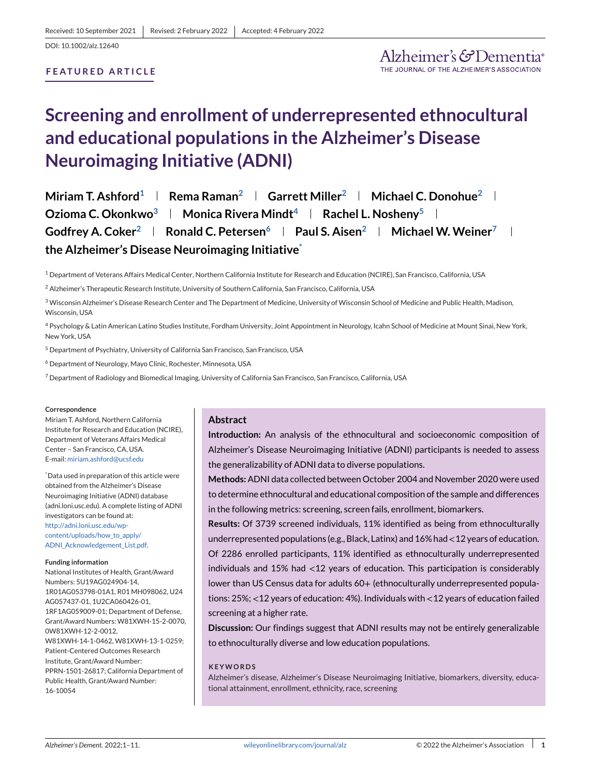# **FEATURED ARTICLE**

# **Screening and enrollment of underrepresented ethnocultural and educational populations in the Alzheimer's Disease Neuroimaging Initiative (ADNI)**

**Miriam T. Ashford**<sup>1</sup> **Rema Raman<sup>2</sup> <b>Garrett Miller**<sup>2</sup> **Michael C. Donohue**<sup>2</sup> **Remain Ozioma C. Okonkwo<sup>3</sup> | Monica Rivera Mindt<sup>4</sup> | Rachel L. Nosheny<sup>5</sup> | Godfrey A. Coker**<sup>2</sup> **Ronald C. Petersen**<sup>6</sup> **Paul S. Aisen**<sup>2</sup> **Michael W. Weiner**<sup>7</sup> **the Alzheimer's Disease Neuroimaging Initiative\***

<sup>1</sup> Department of Veterans Affairs Medical Center, Northern California Institute for Research and Education (NCIRE), San Francisco, California, USA

<sup>2</sup> Alzheimer's Therapeutic Research Institute, University of Southern California, San Francisco, California, USA

<sup>3</sup> Wisconsin Alzheimer's Disease Research Center and The Department of Medicine, University of Wisconsin School of Medicine and Public Health, Madison, Wisconsin, USA

<sup>4</sup> Psychology & Latin American Latino Studies Institute, Fordham University, Joint Appointment in Neurology, Icahn School of Medicine at Mount Sinai, New York, New York, USA

<sup>5</sup> Department of Psychiatry, University of California San Francisco, San Francisco, USA

<sup>6</sup> Department of Neurology, Mayo Clinic, Rochester, Minnesota, USA

<sup>7</sup> Department of Radiology and Biomedical Imaging, University of California San Francisco, San Francisco, California, USA

#### **Correspondence**

Miriam T. Ashford, Northern California Institute for Research and Education (NCIRE), Department of Veterans Affairs Medical Center – San Francisco, CA, USA. E-mail: [miriam.ashford@ucsf.edu](mailto:miriam.ashford@ucsf.edu)

\* Data used in preparation of this article were obtained from the Alzheimer's Disease Neuroimaging Initiative (ADNI) database (adni.loni.usc.edu). A complete listing of ADNI investigators can be found at: [http://adni.loni.usc.edu/wp](http://adni.loni.usc.edu/wp-content/uploads/how_to_apply/ADNI_Acknowledgement_List.pdf)[content/uploads/how\\_to\\_apply/](http://adni.loni.usc.edu/wp-content/uploads/how_to_apply/ADNI_Acknowledgement_List.pdf) [ADNI\\_Acknowledgement\\_List.pdf.](http://adni.loni.usc.edu/wp-content/uploads/how_to_apply/ADNI_Acknowledgement_List.pdf)

#### **Funding information**

National Institutes of Health, Grant/Award Numbers: 5U19AG024904-14, 1R01AG053798-01A1, R01 MH098062, U24 AG057437-01, 1U2CA060426-01, 1RF1AG059009-01; Department of Defense, Grant/Award Numbers: W81XWH-15-2-0070, 0W81XWH-12-2-0012, W81XWH-14-1-0462, W81XWH-13-1-0259; Patient-Centered Outcomes Research Institute, Grant/Award Number: PPRN-1501-26817; California Department of Public Health, Grant/Award Number: 16-10054

#### **Abstract**

**Introduction:** An analysis of the ethnocultural and socioeconomic composition of Alzheimer's Disease Neuroimaging Initiative (ADNI) participants is needed to assess the generalizability of ADNI data to diverse populations.

**Methods:**ADNI data collected between October 2004 and November 2020 were used to determine ethnocultural and educational composition of the sample and differences in the following metrics: screening, screen fails, enrollment, biomarkers.

**Results:** Of 3739 screened individuals, 11% identified as being from ethnoculturally underrepresented populations (e.g., Black, Latinx) and 16% had <12 years of education. Of 2286 enrolled participants, 11% identified as ethnoculturally underrepresented individuals and 15% had <12 years of education. This participation is considerably lower than US Census data for adults 60+ (ethnoculturally underrepresented populations: 25%; <12 years of education: 4%). Individuals with <12 years of education failed screening at a higher rate.

**Discussion:** Our findings suggest that ADNI results may not be entirely generalizable to ethnoculturally diverse and low education populations.

#### **KEYWORDS**

Alzheimer's disease, Alzheimer's Disease Neuroimaging Initiative, biomarkers, diversity, educational attainment, enrollment, ethnicity, race, screening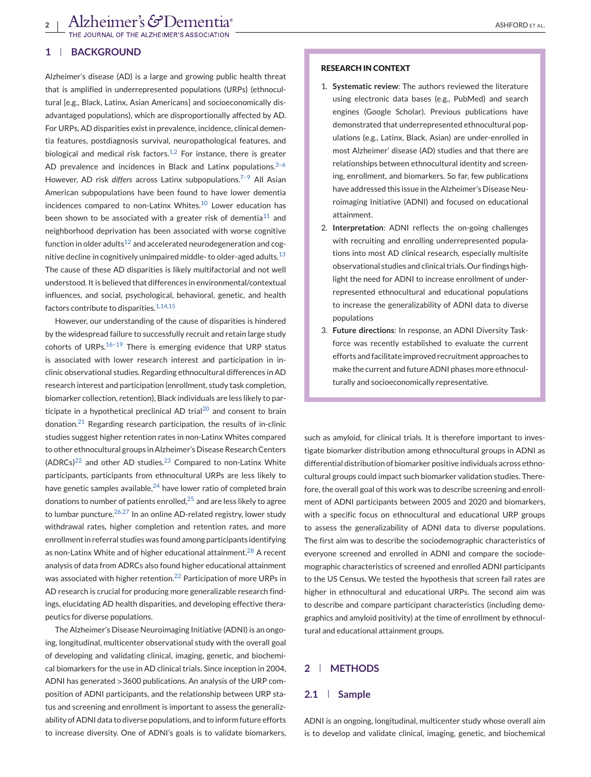### **1 BACKGROUND**

Alzheimer's disease (AD) is a large and growing public health threat that is amplified in underrepresented populations (URPs) (ethnocultural [e.g., Black, Latinx, Asian Americans] and socioeconomically disadvantaged populations), which are disproportionally affected by AD. For URPs, AD disparities exist in prevalence, incidence, clinical dementia features, postdiagnosis survival, neuropathological features, and biological and medical risk factors. $1,2$  For instance, there is greater AD prevalence and incidences in Black and Latinx populations. $3-6$ However, AD risk *differs* across Latinx subpopulations.[7–9](#page-9-0) All Asian American subpopulations have been found to have lower dementia incidences compared to non-Latinx Whites.<sup>[10](#page-9-0)</sup> Lower education has been shown to be associated with a greater risk of dementia<sup>[11](#page-9-0)</sup> and neighborhood deprivation has been associated with worse cognitive function in older adults<sup>12</sup> and accelerated neurodegeneration and cog-nitive decline in cognitively unimpaired middle- to older-aged adults.<sup>[13](#page-10-0)</sup> The cause of these AD disparities is likely multifactorial and not well understood. It is believed that differences in environmental/contextual influences, and social, psychological, behavioral, genetic, and health factors contribute to disparities. $1,14,15$ 

However, our understanding of the cause of disparities is hindered by the widespread failure to successfully recruit and retain large study cohorts of URPs. $16-19$  There is emerging evidence that URP status is associated with lower research interest and participation in inclinic observational studies. Regarding ethnocultural differences in AD research interest and participation (enrollment, study task completion, biomarker collection, retention), Black individuals are less likely to par-ticipate in a hypothetical preclinical AD trial<sup>[20](#page-10-0)</sup> and consent to brain donation. $21$  Regarding research participation, the results of in-clinic studies suggest higher retention rates in non-Latinx Whites compared to other ethnocultural groups in Alzheimer's Disease Research Centers  $(ADRCs)^{22}$  $(ADRCs)^{22}$  $(ADRCs)^{22}$  and other AD studies.<sup>[23](#page-10-0)</sup> Compared to non-Latinx White participants, participants from ethnocultural URPs are less likely to have genetic samples available, $^{24}$  $^{24}$  $^{24}$  have lower ratio of completed brain donations to number of patients enrolled, $25$  and are less likely to agree to lumbar puncture.  $26,27$  In an online AD-related registry, lower study withdrawal rates, higher completion and retention rates, and more enrollment in referral studies was found among participants identifying as non-Latinx White and of higher educational attainment.<sup>[28](#page-10-0)</sup> A recent analysis of data from ADRCs also found higher educational attainment was associated with higher retention.<sup>[22](#page-10-0)</sup> Participation of more URPs in AD research is crucial for producing more generalizable research findings, elucidating AD health disparities, and developing effective therapeutics for diverse populations.

The Alzheimer's Disease Neuroimaging Initiative (ADNI) is an ongoing, longitudinal, multicenter observational study with the overall goal of developing and validating clinical, imaging, genetic, and biochemical biomarkers for the use in AD clinical trials. Since inception in 2004, ADNI has generated >3600 publications. An analysis of the URP composition of ADNI participants, and the relationship between URP status and screening and enrollment is important to assess the generalizability of ADNI data to diverse populations, and to inform future efforts to increase diversity. One of ADNI's goals is to validate biomarkers,

#### **RESEARCH IN CONTEXT**

- 1. **Systematic review**: The authors reviewed the literature using electronic data bases (e.g., PubMed) and search engines (Google Scholar). Previous publications have demonstrated that underrepresented ethnocultural populations (e.g., Latinx, Black, Asian) are under-enrolled in most Alzheimer' disease (AD) studies and that there are relationships between ethnocultural identity and screening, enrollment, and biomarkers. So far, few publications have addressed this issue in the Alzheimer's Disease Neuroimaging Initiative (ADNI) and focused on educational attainment.
- 2. **Interpretation**: ADNI reflects the on-going challenges with recruiting and enrolling underrepresented populations into most AD clinical research, especially multisite observational studies and clinical trials. Our findings highlight the need for ADNI to increase enrollment of underrepresented ethnocultural and educational populations to increase the generalizability of ADNI data to diverse populations
- 3. **Future directions**: In response, an ADNI Diversity Taskforce was recently established to evaluate the current efforts and facilitate improved recruitment approaches to make the current and future ADNI phases more ethnoculturally and socioeconomically representative.

such as amyloid, for clinical trials. It is therefore important to investigate biomarker distribution among ethnocultural groups in ADNI as differential distribution of biomarker positive individuals across ethnocultural groups could impact such biomarker validation studies. Therefore, the overall goal of this work was to describe screening and enrollment of ADNI participants between 2005 and 2020 and biomarkers, with a specific focus on ethnocultural and educational URP groups to assess the generalizability of ADNI data to diverse populations. The first aim was to describe the sociodemographic characteristics of everyone screened and enrolled in ADNI and compare the sociodemographic characteristics of screened and enrolled ADNI participants to the US Census. We tested the hypothesis that screen fail rates are higher in ethnocultural and educational URPs. The second aim was to describe and compare participant characteristics (including demographics and amyloid positivity) at the time of enrollment by ethnocultural and educational attainment groups.

# **2 METHODS**

#### **2.1 Sample**

ADNI is an ongoing, longitudinal, multicenter study whose overall aim is to develop and validate clinical, imaging, genetic, and biochemical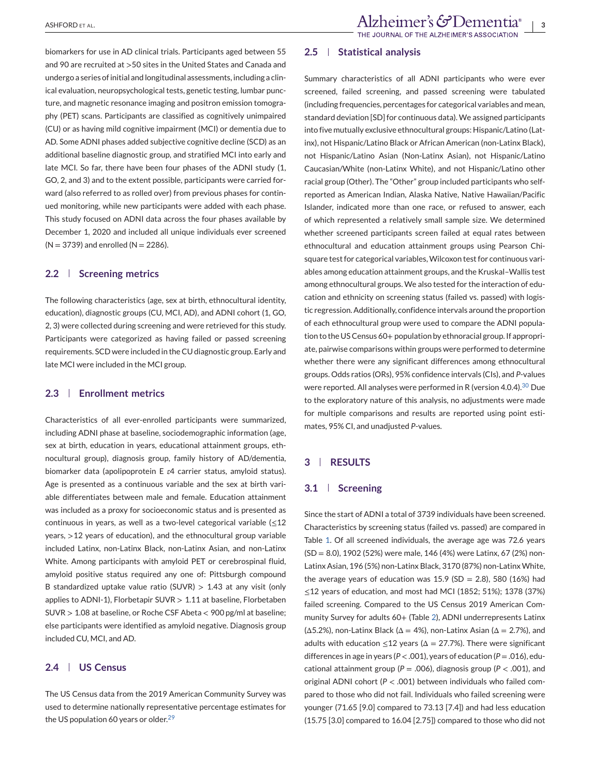biomarkers for use in AD clinical trials. Participants aged between 55 and 90 are recruited at >50 sites in the United States and Canada and undergo a series of initial and longitudinal assessments, including a clinical evaluation, neuropsychological tests, genetic testing, lumbar puncture, and magnetic resonance imaging and positron emission tomography (PET) scans. Participants are classified as cognitively unimpaired (CU) or as having mild cognitive impairment (MCI) or dementia due to AD. Some ADNI phases added subjective cognitive decline (SCD) as an additional baseline diagnostic group, and stratified MCI into early and late MCI. So far, there have been four phases of the ADNI study (1, GO, 2, and 3) and to the extent possible, participants were carried forward (also referred to as rolled over) from previous phases for continued monitoring, while new participants were added with each phase. This study focused on ADNI data across the four phases available by December 1, 2020 and included all unique individuals ever screened  $(N = 3739)$  and enrolled  $(N = 2286)$ .

#### **2.2 Screening metrics**

The following characteristics (age, sex at birth, ethnocultural identity, education), diagnostic groups (CU, MCI, AD), and ADNI cohort (1, GO, 2, 3) were collected during screening and were retrieved for this study. Participants were categorized as having failed or passed screening requirements. SCD were included in the CU diagnostic group. Early and late MCI were included in the MCI group.

# **2.3 Enrollment metrics**

Characteristics of all ever-enrolled participants were summarized, including ADNI phase at baseline, sociodemographic information (age, sex at birth, education in years, educational attainment groups, ethnocultural group), diagnosis group, family history of AD/dementia, biomarker data (apolipoprotein E *ε*4 carrier status, amyloid status). Age is presented as a continuous variable and the sex at birth variable differentiates between male and female. Education attainment was included as a proxy for socioeconomic status and is presented as continuous in years, as well as a two-level categorical variable  $(\leq 12)$ years, >12 years of education), and the ethnocultural group variable included Latinx, non-Latinx Black, non-Latinx Asian, and non-Latinx White. Among participants with amyloid PET or cerebrospinal fluid, amyloid positive status required any one of: Pittsburgh compound B standardized uptake value ratio (SUVR)  $> 1.43$  at any visit (only applies to ADNI-1), Florbetapir SUVR  $> 1.11$  at baseline, Florbetaben SUVR > 1.08 at baseline, or Roche CSF Abeta < 900 pg/ml at baseline; else participants were identified as amyloid negative. Diagnosis group included CU, MCI, and AD.

### **2.4 US Census**

The US Census data from the 2019 American Community Survey was used to determine nationally representative percentage estimates for the US population 60 years or older.<sup>[29](#page-10-0)</sup>

#### **2.5 Statistical analysis**

Summary characteristics of all ADNI participants who were ever screened, failed screening, and passed screening were tabulated (including frequencies, percentages for categorical variables and mean, standard deviation [SD] for continuous data). We assigned participants into five mutually exclusive ethnocultural groups: Hispanic/Latino (Latinx), not Hispanic/Latino Black or African American (non-Latinx Black), not Hispanic/Latino Asian (Non-Latinx Asian), not Hispanic/Latino Caucasian/White (non-Latinx White), and not Hispanic/Latino other racial group (Other). The "Other" group included participants who selfreported as American Indian, Alaska Native, Native Hawaiian/Pacific Islander, indicated more than one race, or refused to answer, each of which represented a relatively small sample size. We determined whether screened participants screen failed at equal rates between ethnocultural and education attainment groups using Pearson Chisquare test for categorical variables, Wilcoxon test for continuous variables among education attainment groups, and the Kruskal–Wallis test among ethnocultural groups. We also tested for the interaction of education and ethnicity on screening status (failed vs. passed) with logistic regression. Additionally, confidence intervals around the proportion of each ethnocultural group were used to compare the ADNI population to the US Census 60+ population by ethnoracial group. If appropriate, pairwise comparisons within groups were performed to determine whether there were any significant differences among ethnocultural groups. Odds ratios (ORs), 95% confidence intervals (CIs), and *P*-values were reported. All analyses were performed in R (version 4.0.4).<sup>[30](#page-10-0)</sup> Due to the exploratory nature of this analysis, no adjustments were made for multiple comparisons and results are reported using point estimates, 95% CI, and unadjusted *P*-values.

### **3 RESULTS**

# **3.1 Screening**

Since the start of ADNI a total of 3739 individuals have been screened. Characteristics by screening status (failed vs. passed) are compared in Table [1.](#page-3-0) Of all screened individuals, the average age was 72.6 years (SD = 8.0), 1902 (52%) were male, 146 (4%) were Latinx, 67 (2%) non-Latinx Asian, 196 (5%) non-Latinx Black, 3170 (87%) non-Latinx White, the average years of education was  $15.9$  (SD = 2.8), 580 (16%) had ≤12 years of education, and most had MCI (1852; 51%); 1378 (37%) failed screening. Compared to the US Census 2019 American Community Survey for adults 60+ (Table [2\)](#page-3-0), ADNI underrepresents Latinx ( $\Delta$ 5.2%), non-Latinx Black ( $\Delta$  = 4%), non-Latinx Asian ( $\Delta$  = 2.7%), and adults with education  $\leq$ 12 years ( $\Delta$  = 27.7%). There were significant differences in age in years (*P* < .001), years of education (*P* = .016), educational attainment group (*P* = .006), diagnosis group (*P* < .001), and original ADNI cohort (*P* < .001) between individuals who failed compared to those who did not fail. Individuals who failed screening were younger (71.65 [9.0] compared to 73.13 [7.4]) and had less education (15.75 [3.0] compared to 16.04 [2.75]) compared to those who did not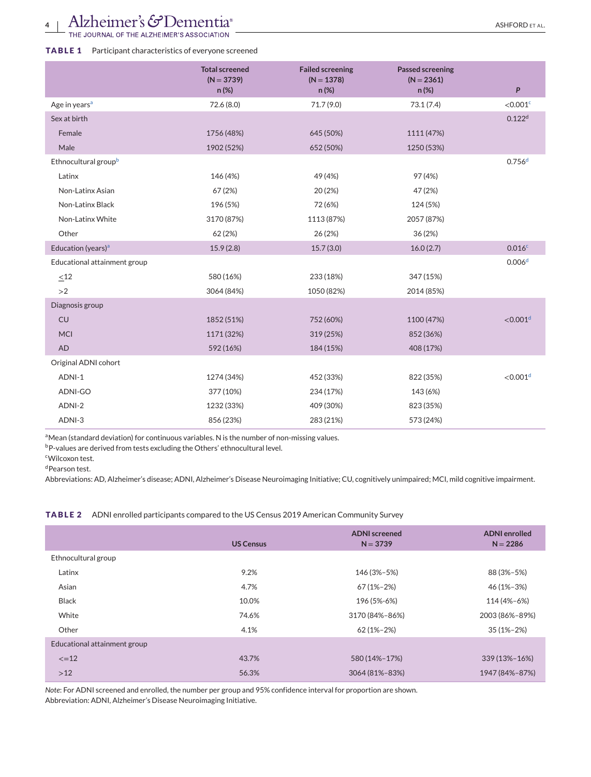# <span id="page-3-0"></span>**TABLE 1** Participant characteristics of everyone screened

|                                  | <b>Total screened</b><br>$(N = 3739)$<br>$n (\%)$ | <b>Failed screening</b><br>$(N = 1378)$<br>n (%) | <b>Passed screening</b><br>$(N = 2361)$<br>n (%) | P                      |
|----------------------------------|---------------------------------------------------|--------------------------------------------------|--------------------------------------------------|------------------------|
| Age in years <sup>a</sup>        | 72.6 (8.0)                                        | 71.7 (9.0)                                       | 73.1(7.4)                                        | $<$ 0.001 $\rm{c}$     |
| Sex at birth                     |                                                   |                                                  |                                                  | 0.122 <sup>d</sup>     |
| Female                           | 1756 (48%)                                        | 645 (50%)                                        | 1111 (47%)                                       |                        |
| Male                             | 1902 (52%)                                        | 652 (50%)                                        | 1250 (53%)                                       |                        |
| Ethnocultural group <sup>b</sup> |                                                   |                                                  |                                                  | 0.756 <sup>d</sup>     |
| Latinx                           | 146 (4%)                                          | 49 (4%)                                          | 97 (4%)                                          |                        |
| Non-Latinx Asian                 | 67 (2%)                                           | 20 (2%)                                          | 47 (2%)                                          |                        |
| Non-Latinx Black                 | 196 (5%)                                          | 72 (6%)                                          | 124 (5%)                                         |                        |
| Non-Latinx White                 | 3170 (87%)                                        | 1113 (87%)                                       | 2057 (87%)                                       |                        |
| Other                            | 62 (2%)                                           | 26 (2%)                                          | 36(2%)                                           |                        |
| Education (years) <sup>a</sup>   | 15.9(2.8)                                         | 15.7(3.0)                                        | 16.0(2.7)                                        | 0.016c                 |
| Educational attainment group     |                                                   |                                                  |                                                  | 0.006 <sup>d</sup>     |
| $<$ 12                           | 580 (16%)                                         | 233 (18%)                                        | 347 (15%)                                        |                        |
| >2                               | 3064 (84%)                                        | 1050 (82%)                                       | 2014 (85%)                                       |                        |
| Diagnosis group                  |                                                   |                                                  |                                                  |                        |
| CU                               | 1852 (51%)                                        | 752 (60%)                                        | 1100 (47%)                                       | $<$ 0.001 <sup>d</sup> |
| <b>MCI</b>                       | 1171 (32%)                                        | 319 (25%)                                        | 852 (36%)                                        |                        |
| <b>AD</b>                        | 592 (16%)                                         | 184 (15%)                                        | 408 (17%)                                        |                        |
| Original ADNI cohort             |                                                   |                                                  |                                                  |                        |
| ADNI-1                           | 1274 (34%)                                        | 452 (33%)                                        | 822 (35%)                                        | $<$ 0.001 <sup>d</sup> |
| ADNI-GO                          | 377 (10%)                                         | 234 (17%)                                        | 143 (6%)                                         |                        |
| ADNI-2                           | 1232 (33%)                                        | 409 (30%)                                        | 823 (35%)                                        |                        |
| ADNI-3                           | 856 (23%)                                         | 283 (21%)                                        | 573 (24%)                                        |                        |

<sup>a</sup>Mean (standard deviation) for continuous variables. N is the number of non-missing values.

bP-values are derived from tests excluding the Others' ethnocultural level.

cWilcoxon test. d Pearson test.

Abbreviations: AD, Alzheimer's disease; ADNI, Alzheimer's Disease Neuroimaging Initiative; CU, cognitively unimpaired; MCI, mild cognitive impairment.

#### **TABLE 2** ADNI enrolled participants compared to the US Census 2019 American Community Survey

|                              | <b>US Census</b> | <b>ADNI</b> screened<br>$N = 3739$ | <b>ADNI</b> enrolled<br>$N = 2286$ |
|------------------------------|------------------|------------------------------------|------------------------------------|
| Ethnocultural group          |                  |                                    |                                    |
| Latinx                       | 9.2%             | 146 (3%-5%)                        | 88 (3%-5%)                         |
| Asian                        | 4.7%             | 67 (1%-2%)                         | 46 (1%-3%)                         |
| <b>Black</b>                 | 10.0%            | 196 (5%-6%)                        | 114 (4%-6%)                        |
| White                        | 74.6%            | 3170 (84%-86%)                     | 2003 (86%-89%)                     |
| Other                        | 4.1%             | $62(1\% - 2\%)$                    | $35(1\% - 2\%)$                    |
| Educational attainment group |                  |                                    |                                    |
| $\leq$ = 12                  | 43.7%            | 580 (14%-17%)                      | 339 (13%-16%)                      |
| $>12$                        | 56.3%            | 3064 (81%-83%)                     | 1947 (84%-87%)                     |

*Note*: For ADNI screened and enrolled, the number per group and 95% confidence interval for proportion are shown. Abbreviation: ADNI, Alzheimer's Disease Neuroimaging Initiative.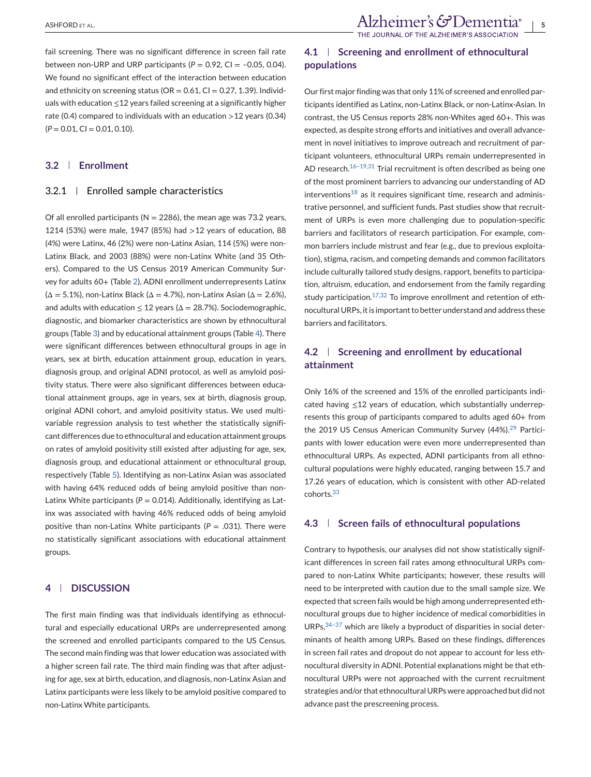fail screening. There was no significant difference in screen fail rate between non-URP and URP participants  $(P = 0.92, C1 = -0.05, 0.04)$ . We found no significant effect of the interaction between education and ethnicity on screening status ( $OR = 0.61$ ,  $CI = 0.27$ , 1.39). Individuals with education ≤12 years failed screening at a significantly higher rate (0.4) compared to individuals with an education  $>12$  years (0.34)  $(P = 0.01, C1 = 0.01, 0.10).$ 

#### **3.2 Enrollment**

#### 3.2.1 Enrolled sample characteristics

Of all enrolled participants ( $N = 2286$ ), the mean age was 73.2 years, 1214 (53%) were male, 1947 (85%) had >12 years of education, 88 (4%) were Latinx, 46 (2%) were non-Latinx Asian, 114 (5%) were non-Latinx Black, and 2003 (88%) were non-Latinx White (and 35 Others). Compared to the US Census 2019 American Community Survey for adults 60+ (Table [2\)](#page-3-0), ADNI enrollment underrepresents Latinx  $(\Delta = 5.1\%)$ , non-Latinx Black ( $\Delta = 4.7\%$ ), non-Latinx Asian ( $\Delta = 2.6\%$ ), and adults with education  $\leq 12$  years ( $\Delta = 28.7$ %). Sociodemographic, diagnostic, and biomarker characteristics are shown by ethnocultural groups (Table [3\)](#page-5-0) and by educational attainment groups (Table [4\)](#page-6-0). There were significant differences between ethnocultural groups in age in years, sex at birth, education attainment group, education in years, diagnosis group, and original ADNI protocol, as well as amyloid positivity status. There were also significant differences between educational attainment groups, age in years, sex at birth, diagnosis group, original ADNI cohort, and amyloid positivity status. We used multivariable regression analysis to test whether the statistically significant differences due to ethnocultural and education attainment groups on rates of amyloid positivity still existed after adjusting for age, sex, diagnosis group, and educational attainment or ethnocultural group, respectively (Table [5\)](#page-7-0). Identifying as non-Latinx Asian was associated with having 64% reduced odds of being amyloid positive than non-Latinx White participants ( $P = 0.014$ ). Additionally, identifying as Latinx was associated with having 46% reduced odds of being amyloid positive than non-Latinx White participants ( $P = .031$ ). There were no statistically significant associations with educational attainment groups.

# **4 DISCUSSION**

The first main finding was that individuals identifying as ethnocultural and especially educational URPs are underrepresented among the screened and enrolled participants compared to the US Census. The second main finding was that lower education was associated with a higher screen fail rate. The third main finding was that after adjusting for age, sex at birth, education, and diagnosis, non-Latinx Asian and Latinx participants were less likely to be amyloid positive compared to non-Latinx White participants.

# **4.1 Screening and enrollment of ethnocultural populations**

Our first major finding was that only 11% of screened and enrolled participants identified as Latinx, non-Latinx Black, or non-Latinx-Asian. In contrast, the US Census reports 28% non-Whites aged 60+. This was expected, as despite strong efforts and initiatives and overall advancement in novel initiatives to improve outreach and recruitment of participant volunteers, ethnocultural URPs remain underrepresented in AD research.<sup>[16–19,31](#page-10-0)</sup> Trial recruitment is often described as being one of the most prominent barriers to advancing our understanding of AD  $interventions<sup>18</sup>$  $interventions<sup>18</sup>$  $interventions<sup>18</sup>$  as it requires significant time, research and administrative personnel, and sufficient funds. Past studies show that recruitment of URPs is even more challenging due to population-specific barriers and facilitators of research participation. For example, common barriers include mistrust and fear (e.g., due to previous exploitation), stigma, racism, and competing demands and common facilitators include culturally tailored study designs, rapport, benefits to participation, altruism, education, and endorsement from the family regarding study participation.<sup>[17,32](#page-10-0)</sup> To improve enrollment and retention of ethnocultural URPs, it is important to better understand and address these barriers and facilitators.

# **4.2 Screening and enrollment by educational attainment**

Only 16% of the screened and 15% of the enrolled participants indicated having ≤12 years of education, which substantially underrepresents this group of participants compared to adults aged 60+ from the 2019 US Census American Community Survey (44%).<sup>[29](#page-10-0)</sup> Participants with lower education were even more underrepresented than ethnocultural URPs. As expected, ADNI participants from all ethnocultural populations were highly educated, ranging between 15.7 and 17.26 years of education, which is consistent with other AD-related cohorts.[33](#page-10-0)

## **4.3 Screen fails of ethnocultural populations**

Contrary to hypothesis, our analyses did not show statistically significant differences in screen fail rates among ethnocultural URPs compared to non-Latinx White participants; however, these results will need to be interpreted with caution due to the small sample size. We expected that screen fails would be high among underrepresented ethnocultural groups due to higher incidence of medical comorbidities in  $URPs<sub>1</sub><sup>34-37</sup>$  which are likely a byproduct of disparities in social determinants of health among URPs. Based on these findings, differences in screen fail rates and dropout do not appear to account for less ethnocultural diversity in ADNI. Potential explanations might be that ethnocultural URPs were not approached with the current recruitment strategies and/or that ethnocultural URPs were approached but did not advance past the prescreening process.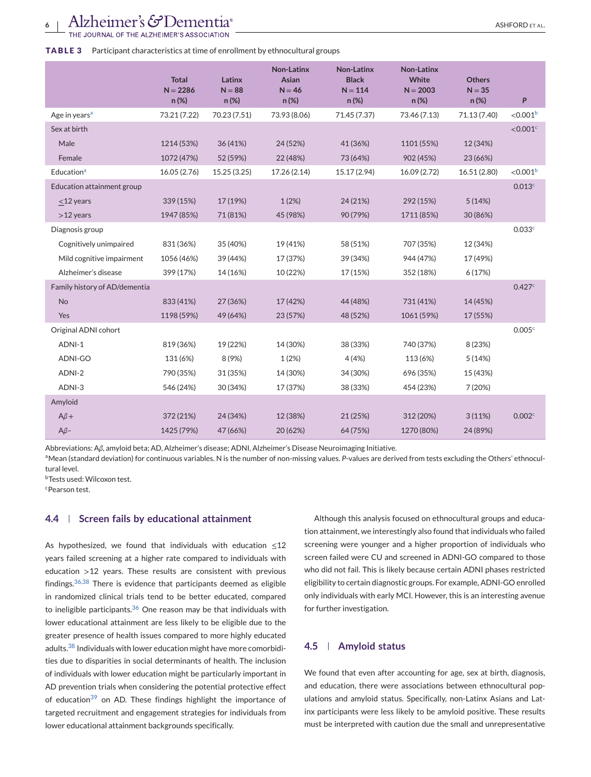#### <span id="page-5-0"></span>**TABLE 3** Participant characteristics at time of enrollment by ethnocultural groups

|                               | <b>Total</b><br>$N = 2286$<br>n(%) | Latinx<br>$N = 88$<br>n(%) | Non-Latinx<br>Asian<br>$N = 46$<br>n(%) | <b>Non-Latinx</b><br><b>Black</b><br>$N = 114$<br>n (%) | Non-Latinx<br>White<br>$N = 2003$<br>n(%) | <b>Others</b><br>$N = 35$<br>n(%) | P                    |
|-------------------------------|------------------------------------|----------------------------|-----------------------------------------|---------------------------------------------------------|-------------------------------------------|-----------------------------------|----------------------|
| Age in years <sup>a</sup>     | 73.21 (7.22)                       | 70.23 (7.51)               | 73.93 (8.06)                            | 71.45 (7.37)                                            | 73.46 (7.13)                              | 71.13 (7.40)                      | < 0.001 <sup>b</sup> |
| Sex at birth                  |                                    |                            |                                         |                                                         |                                           |                                   | $<$ 0.001 $\text{C}$ |
| Male                          | 1214 (53%)                         | 36 (41%)                   | 24 (52%)                                | 41 (36%)                                                | 1101 (55%)                                | 12 (34%)                          |                      |
| Female                        | 1072 (47%)                         | 52 (59%)                   | 22 (48%)                                | 73 (64%)                                                | 902 (45%)                                 | 23 (66%)                          |                      |
| Education <sup>a</sup>        | 16.05 (2.76)                       | 15.25 (3.25)               | 17.26 (2.14)                            | 15.17 (2.94)                                            | 16.09 (2.72)                              | 16.51 (2.80)                      | < 0.001 <sup>b</sup> |
| Education attainment group    |                                    |                            |                                         |                                                         |                                           |                                   | 0.013 <sup>c</sup>   |
| $<$ 12 years                  | 339 (15%)                          | 17 (19%)                   | 1(2%)                                   | 24 (21%)                                                | 292 (15%)                                 | 5(14%)                            |                      |
| $>12$ years                   | 1947 (85%)                         | 71 (81%)                   | 45 (98%)                                | 90 (79%)                                                | 1711 (85%)                                | 30 (86%)                          |                      |
| Diagnosis group               |                                    |                            |                                         |                                                         |                                           |                                   | 0.033c               |
| Cognitively unimpaired        | 831 (36%)                          | 35 (40%)                   | 19 (41%)                                | 58 (51%)                                                | 707 (35%)                                 | 12 (34%)                          |                      |
| Mild cognitive impairment     | 1056 (46%)                         | 39 (44%)                   | 17 (37%)                                | 39 (34%)                                                | 944 (47%)                                 | 17 (49%)                          |                      |
| Alzheimer's disease           | 399 (17%)                          | 14 (16%)                   | 10 (22%)                                | 17 (15%)                                                | 352 (18%)                                 | 6(17%)                            |                      |
| Family history of AD/dementia |                                    |                            |                                         |                                                         |                                           |                                   | 0.427c               |
| No                            | 833 (41%)                          | 27 (36%)                   | 17 (42%)                                | 44 (48%)                                                | 731 (41%)                                 | 14 (45%)                          |                      |
| Yes                           | 1198 (59%)                         | 49 (64%)                   | 23 (57%)                                | 48 (52%)                                                | 1061 (59%)                                | 17 (55%)                          |                      |
| Original ADNI cohort          |                                    |                            |                                         |                                                         |                                           |                                   | 0.005 <sup>c</sup>   |
| ADNI-1                        | 819 (36%)                          | 19 (22%)                   | 14 (30%)                                | 38 (33%)                                                | 740 (37%)                                 | 8 (23%)                           |                      |
| ADNI-GO                       | 131 (6%)                           | 8 (9%)                     | 1(2%)                                   | 4(4%)                                                   | 113 (6%)                                  | 5(14%)                            |                      |
| ADNI-2                        | 790 (35%)                          | 31 (35%)                   | 14 (30%)                                | 34 (30%)                                                | 696 (35%)                                 | 15 (43%)                          |                      |
| ADNI-3                        | 546 (24%)                          | 30 (34%)                   | 17 (37%)                                | 38 (33%)                                                | 454 (23%)                                 | 7(20%)                            |                      |
| Amyloid                       |                                    |                            |                                         |                                                         |                                           |                                   |                      |
| $A\beta +$                    | 372 (21%)                          | 24 (34%)                   | 12 (38%)                                | 21 (25%)                                                | 312 (20%)                                 | 3(11%)                            | 0.002 <sup>c</sup>   |
| $A\beta-$                     | 1425 (79%)                         | 47 (66%)                   | 20 (62%)                                | 64 (75%)                                                | 1270 (80%)                                | 24 (89%)                          |                      |

Abbreviations: A*β*, amyloid beta; AD, Alzheimer's disease; ADNI, Alzheimer's Disease Neuroimaging Initiative.

aMean (standard deviation) for continuous variables. N is the number of non-missing values. P-values are derived from tests excluding the Others' ethnocultural level.

bTests used: Wilcoxon test.

cPearson test.

#### **4.4 Screen fails by educational attainment**

As hypothesized, we found that individuals with education  $\leq 12$ years failed screening at a higher rate compared to individuals with education >12 years. These results are consistent with previous findings.[36,38](#page-10-0) There is evidence that participants deemed as eligible in randomized clinical trials tend to be better educated, compared to ineligible participants. $36$  One reason may be that individuals with lower educational attainment are less likely to be eligible due to the greater presence of health issues compared to more highly educated adults.<sup>[38](#page-10-0)</sup> Individuals with lower education might have more comorbidities due to disparities in social determinants of health. The inclusion of individuals with lower education might be particularly important in AD prevention trials when considering the potential protective effect of education<sup>[39](#page-10-0)</sup> on AD. These findings highlight the importance of targeted recruitment and engagement strategies for individuals from lower educational attainment backgrounds specifically.

Although this analysis focused on ethnocultural groups and education attainment, we interestingly also found that individuals who failed screening were younger and a higher proportion of individuals who screen failed were CU and screened in ADNI-GO compared to those who did not fail. This is likely because certain ADNI phases restricted eligibility to certain diagnostic groups. For example, ADNI-GO enrolled only individuals with early MCI. However, this is an interesting avenue for further investigation.

# **4.5 Amyloid status**

We found that even after accounting for age, sex at birth, diagnosis, and education, there were associations between ethnocultural populations and amyloid status. Specifically, non-Latinx Asians and Latinx participants were less likely to be amyloid positive. These results must be interpreted with caution due the small and unrepresentative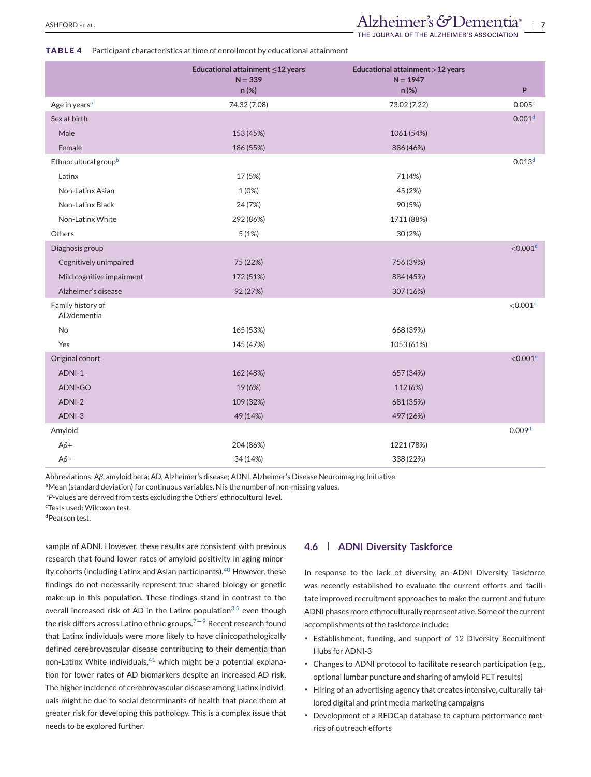#### <span id="page-6-0"></span>**TABLE 4** Participant characteristics at time of enrollment by educational attainment

|                                  | Educational attainment $\leq$ 12 years<br>$N = 339$<br>n (%) | Educational attainment > 12 years<br>$N = 1947$<br>$n (\%)$ | P                      |
|----------------------------------|--------------------------------------------------------------|-------------------------------------------------------------|------------------------|
| Age in years <sup>a</sup>        | 74.32 (7.08)                                                 | 73.02 (7.22)                                                | 0.005c                 |
| Sex at birth                     |                                                              |                                                             | 0.001 <sup>d</sup>     |
| Male                             | 153 (45%)                                                    | 1061 (54%)                                                  |                        |
| Female                           | 186 (55%)                                                    | 886 (46%)                                                   |                        |
| Ethnocultural group <sup>b</sup> |                                                              |                                                             | 0.013 <sup>d</sup>     |
| Latinx                           | 17 (5%)                                                      | 71 (4%)                                                     |                        |
| Non-Latinx Asian                 | 1(0%)                                                        | 45 (2%)                                                     |                        |
| Non-Latinx Black                 | 24 (7%)                                                      | 90 (5%)                                                     |                        |
| Non-Latinx White                 | 292 (86%)                                                    | 1711 (88%)                                                  |                        |
| Others                           | 5(1%)                                                        | 30(2%)                                                      |                        |
| Diagnosis group                  |                                                              |                                                             | $<$ 0.001 <sup>d</sup> |
| Cognitively unimpaired           | 75 (22%)                                                     | 756 (39%)                                                   |                        |
| Mild cognitive impairment        | 172 (51%)                                                    | 884 (45%)                                                   |                        |
| Alzheimer's disease              | 92 (27%)                                                     | 307 (16%)                                                   |                        |
| Family history of<br>AD/dementia |                                                              |                                                             | $<$ 0.001 <sup>d</sup> |
| No                               | 165 (53%)                                                    | 668 (39%)                                                   |                        |
| Yes                              | 145 (47%)                                                    | 1053 (61%)                                                  |                        |
| Original cohort                  |                                                              |                                                             | < 0.001 <sup>d</sup>   |
| ADNI-1                           | 162 (48%)                                                    | 657 (34%)                                                   |                        |
| <b>ADNI-GO</b>                   | 19 (6%)                                                      | 112 (6%)                                                    |                        |
| ADNI-2                           | 109 (32%)                                                    | 681 (35%)                                                   |                        |
| ADNI-3                           | 49 (14%)                                                     | 497 (26%)                                                   |                        |
| Amyloid                          |                                                              |                                                             | 0.009 <sup>d</sup>     |
| $A\beta +$                       | 204 (86%)                                                    | 1221 (78%)                                                  |                        |
| $A\beta-$                        | 34 (14%)                                                     | 338 (22%)                                                   |                        |

Abbreviations: A*β*, amyloid beta; AD, Alzheimer's disease; ADNI, Alzheimer's Disease Neuroimaging Initiative.

aMean (standard deviation) for continuous variables. N is the number of non-missing values.

<sup>b</sup>*P*-values are derived from tests excluding the Others' ethnocultural level.

cTests used: Wilcoxon test.

dPearson test.

sample of ADNI. However, these results are consistent with previous research that found lower rates of amyloid positivity in aging minor-ity cohorts (including Latinx and Asian participants).<sup>[40](#page-10-0)</sup> However, these findings do not necessarily represent true shared biology or genetic make-up in this population. These findings stand in contrast to the overall increased risk of AD in the Latinx population<sup>[3,5](#page-9-0)</sup> even though the risk differs across Latino ethnic groups.<sup> $7-9$ </sup> Recent research found that Latinx individuals were more likely to have clinicopathologically defined cerebrovascular disease contributing to their dementia than non-Latinx White individuals, $41$  which might be a potential explanation for lower rates of AD biomarkers despite an increased AD risk. The higher incidence of cerebrovascular disease among Latinx individuals might be due to social determinants of health that place them at greater risk for developing this pathology. This is a complex issue that needs to be explored further.

#### **4.6 ADNI Diversity Taskforce**

In response to the lack of diversity, an ADNI Diversity Taskforce was recently established to evaluate the current efforts and facilitate improved recruitment approaches to make the current and future ADNI phases more ethnoculturally representative. Some of the current accomplishments of the taskforce include:

- ∙ Establishment, funding, and support of 12 Diversity Recruitment Hubs for ADNI-3
- ∙ Changes to ADNI protocol to facilitate research participation (e.g., optional lumbar puncture and sharing of amyloid PET results)
- ∙ Hiring of an advertising agency that creates intensive, culturally tailored digital and print media marketing campaigns
- ∙ Development of a REDCap database to capture performance metrics of outreach efforts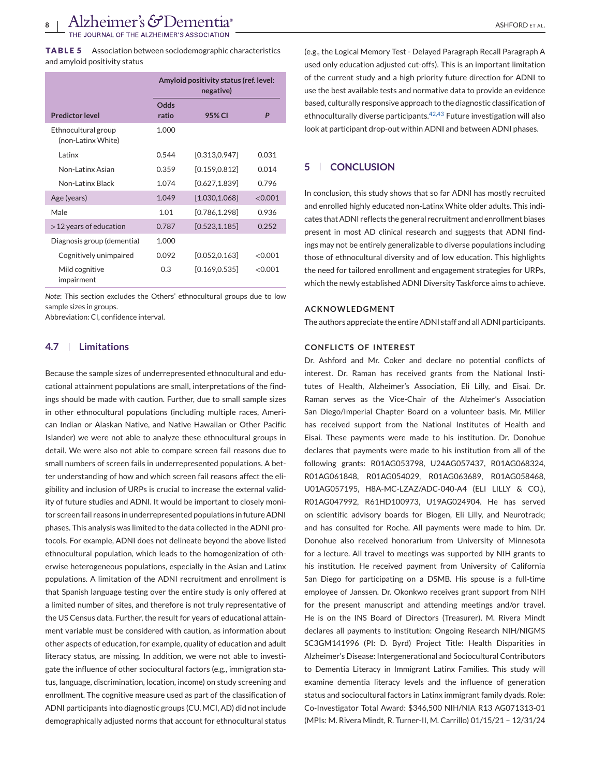<span id="page-7-0"></span>**TABLE 5** Association between sociodemographic characteristics and amyloid positivity status

|                                           | Amyloid positivity status (ref. level:<br>negative) |                |         |
|-------------------------------------------|-----------------------------------------------------|----------------|---------|
| <b>Predictor level</b>                    | Odds<br>ratio                                       | 95% CI         | P       |
| Ethnocultural group<br>(non-Latinx White) | 1.000                                               |                |         |
| <b>Latinx</b>                             | 0.544                                               | [0.313, 0.947] | 0.031   |
| Non-Latinx Asian                          | 0.359                                               | [0.159, 0.812] | 0.014   |
| Non-Latinx Black                          | 1.074                                               | [0.627, 1.839] | 0.796   |
| Age (years)                               | 1.049                                               | [1.030, 1.068] | < 0.001 |
| Male                                      | 1.01                                                | [0.786, 1.298] | 0.936   |
| $>12$ years of education                  | 0.787                                               | [0.523, 1.185] | 0.252   |
| Diagnosis group (dementia)                | 1.000                                               |                |         |
| Cognitively unimpaired                    | 0.092                                               | [0.052, 0.163] | < 0.001 |
| Mild cognitive<br>impairment              | 0.3                                                 | [0.169, 0.535] | < 0.001 |

*Note*: This section excludes the Others' ethnocultural groups due to low sample sizes in groups.

Abbreviation: CI, confidence interval.

### **4.7 Limitations**

Because the sample sizes of underrepresented ethnocultural and educational attainment populations are small, interpretations of the findings should be made with caution. Further, due to small sample sizes in other ethnocultural populations (including multiple races, American Indian or Alaskan Native, and Native Hawaiian or Other Pacific Islander) we were not able to analyze these ethnocultural groups in detail. We were also not able to compare screen fail reasons due to small numbers of screen fails in underrepresented populations. A better understanding of how and which screen fail reasons affect the eligibility and inclusion of URPs is crucial to increase the external validity of future studies and ADNI. It would be important to closely monitor screen fail reasons in underrepresented populations in future ADNI phases. This analysis was limited to the data collected in the ADNI protocols. For example, ADNI does not delineate beyond the above listed ethnocultural population, which leads to the homogenization of otherwise heterogeneous populations, especially in the Asian and Latinx populations. A limitation of the ADNI recruitment and enrollment is that Spanish language testing over the entire study is only offered at a limited number of sites, and therefore is not truly representative of the US Census data. Further, the result for years of educational attainment variable must be considered with caution, as information about other aspects of education, for example, quality of education and adult literacy status, are missing. In addition, we were not able to investigate the influence of other sociocultural factors (e.g., immigration status, language, discrimination, location, income) on study screening and enrollment. The cognitive measure used as part of the classification of ADNI participants into diagnostic groups (CU, MCI, AD) did not include demographically adjusted norms that account for ethnocultural status

(e.g., the Logical Memory Test - Delayed Paragraph Recall Paragraph A

used only education adjusted cut-offs). This is an important limitation of the current study and a high priority future direction for ADNI to use the best available tests and normative data to provide an evidence based, culturally responsive approach to the diagnostic classification of ethnoculturally diverse participants. $42,43$  Future investigation will also look at participant drop-out within ADNI and between ADNI phases.

# **5 CONCLUSION**

In conclusion, this study shows that so far ADNI has mostly recruited and enrolled highly educated non-Latinx White older adults. This indicates that ADNI reflects the general recruitment and enrollment biases present in most AD clinical research and suggests that ADNI findings may not be entirely generalizable to diverse populations including those of ethnocultural diversity and of low education. This highlights the need for tailored enrollment and engagement strategies for URPs, which the newly established ADNI Diversity Taskforce aims to achieve.

#### **ACKNOWLEDGMENT**

The authors appreciate the entire ADNI staff and all ADNI participants.

#### **CONFLICTS OF INTEREST**

Dr. Ashford and Mr. Coker and declare no potential conflicts of interest. Dr. Raman has received grants from the National Institutes of Health, Alzheimer's Association, Eli Lilly, and Eisai. Dr. Raman serves as the Vice-Chair of the Alzheimer's Association San Diego/Imperial Chapter Board on a volunteer basis. Mr. Miller has received support from the National Institutes of Health and Eisai. These payments were made to his institution. Dr. Donohue declares that payments were made to his institution from all of the following grants: R01AG053798, U24AG057437, R01AG068324, R01AG061848, R01AG054029, R01AG063689, R01AG058468, U01AG057195, H8A-MC-LZAZ/ADC-040-A4 (ELI LILLY & CO.), R01AG047992, R61HD100973, U19AG024904. He has served on scientific advisory boards for Biogen, Eli Lilly, and Neurotrack; and has consulted for Roche. All payments were made to him. Dr. Donohue also received honorarium from University of Minnesota for a lecture. All travel to meetings was supported by NIH grants to his institution. He received payment from University of California San Diego for participating on a DSMB. His spouse is a full-time employee of Janssen. Dr. Okonkwo receives grant support from NIH for the present manuscript and attending meetings and/or travel. He is on the INS Board of Directors (Treasurer). M. Rivera Mindt declares all payments to institution: Ongoing Research NIH/NIGMS SC3GM141996 (PI: D. Byrd) Project Title: Health Disparities in Alzheimer's Disease: Intergenerational and Sociocultural Contributors to Dementia Literacy in Immigrant Latinx Families. This study will examine dementia literacy levels and the influence of generation status and sociocultural factors in Latinx immigrant family dyads. Role: Co-Investigator Total Award: \$346,500 NIH/NIA R13 AG071313-01 (MPIs: M. Rivera Mindt, R. Turner-II, M. Carrillo) 01/15/21 – 12/31/24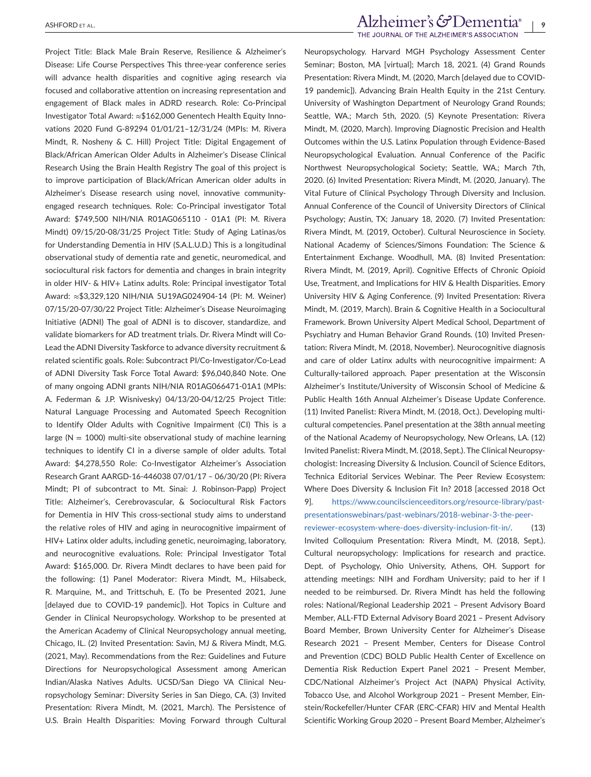Project Title: Black Male Brain Reserve, Resilience & Alzheimer's Disease: Life Course Perspectives This three-year conference series will advance health disparities and cognitive aging research via focused and collaborative attention on increasing representation and engagement of Black males in ADRD research. Role: Co-Principal Investigator Total Award: ≈\$162,000 Genentech Health Equity Innovations 2020 Fund G-89294 01/01/21–12/31/24 (MPIs: M. Rivera Mindt, R. Nosheny & C. Hill) Project Title: Digital Engagement of Black/African American Older Adults in Alzheimer's Disease Clinical Research Using the Brain Health Registry The goal of this project is to improve participation of Black/African American older adults in Alzheimer's Disease research using novel, innovative communityengaged research techniques. Role: Co-Principal investigator Total Award: \$749,500 NIH/NIA R01AG065110 - 01A1 (PI: M. Rivera Mindt) 09/15/20-08/31/25 Project Title: Study of Aging Latinas/os for Understanding Dementia in HIV (S.A.L.U.D.) This is a longitudinal observational study of dementia rate and genetic, neuromedical, and sociocultural risk factors for dementia and changes in brain integrity in older HIV- & HIV+ Latinx adults. Role: Principal investigator Total Award: ≈\$3,329,120 NIH/NIA 5U19AG024904-14 (PI: M. Weiner) 07/15/20-07/30/22 Project Title: Alzheimer's Disease Neuroimaging Initiative (ADNI) The goal of ADNI is to discover, standardize, and validate biomarkers for AD treatment trials. Dr. Rivera Mindt will Co-Lead the ADNI Diversity Taskforce to advance diversity recruitment & related scientific goals. Role: Subcontract PI/Co-Investigator/Co-Lead of ADNI Diversity Task Force Total Award: \$96,040,840 Note. One of many ongoing ADNI grants NIH/NIA R01AG066471-01A1 (MPIs: A. Federman & J.P. Wisnivesky) 04/13/20-04/12/25 Project Title: Natural Language Processing and Automated Speech Recognition to Identify Older Adults with Cognitive Impairment (CI) This is a large ( $N = 1000$ ) multi-site observational study of machine learning techniques to identify CI in a diverse sample of older adults. Total Award: \$4,278,550 Role: Co-Investigator Alzheimer's Association Research Grant AARGD-16-446038 07/01/17 – 06/30/20 (PI: Rivera Mindt; PI of subcontract to Mt. Sinai: J. Robinson-Papp) Project Title: Alzheimer's, Cerebrovascular, & Sociocultural Risk Factors for Dementia in HIV This cross-sectional study aims to understand the relative roles of HIV and aging in neurocognitive impairment of HIV+ Latinx older adults, including genetic, neuroimaging, laboratory, and neurocognitive evaluations. Role: Principal Investigator Total Award: \$165,000. Dr. Rivera Mindt declares to have been paid for the following: (1) Panel Moderator: Rivera Mindt, M., Hilsabeck, R. Marquine, M., and Trittschuh, E. (To be Presented 2021, June [delayed due to COVID-19 pandemic]). Hot Topics in Culture and Gender in Clinical Neuropsychology. Workshop to be presented at the American Academy of Clinical Neuropsychology annual meeting, Chicago, IL. (2) Invited Presentation: Savin, MJ & Rivera Mindt, M.G. (2021, May). Recommendations from the Rez: Guidelines and Future Directions for Neuropsychological Assessment among American Indian/Alaska Natives Adults. UCSD/San Diego VA Clinical Neuropsychology Seminar: Diversity Series in San Diego, CA. (3) Invited Presentation: Rivera Mindt, M. (2021, March). The Persistence of U.S. Brain Health Disparities: Moving Forward through Cultural

# Alzheimer's GDementia®<br>The journal of the alzheimer's association

Neuropsychology. Harvard MGH Psychology Assessment Center Seminar; Boston, MA [virtual]; March 18, 2021. (4) Grand Rounds Presentation: Rivera Mindt, M. (2020, March [delayed due to COVID-19 pandemic]). Advancing Brain Health Equity in the 21st Century. University of Washington Department of Neurology Grand Rounds; Seattle, WA.; March 5th, 2020. (5) Keynote Presentation: Rivera Mindt, M. (2020, March). Improving Diagnostic Precision and Health Outcomes within the U.S. Latinx Population through Evidence-Based Neuropsychological Evaluation. Annual Conference of the Pacific Northwest Neuropsychological Society; Seattle, WA.; March 7th, 2020. (6) Invited Presentation: Rivera Mindt, M. (2020, January). The Vital Future of Clinical Psychology Through Diversity and Inclusion. Annual Conference of the Council of University Directors of Clinical Psychology; Austin, TX; January 18, 2020. (7) Invited Presentation: Rivera Mindt, M. (2019, October). Cultural Neuroscience in Society. National Academy of Sciences/Simons Foundation: The Science & Entertainment Exchange. Woodhull, MA. (8) Invited Presentation: Rivera Mindt, M. (2019, April). Cognitive Effects of Chronic Opioid Use, Treatment, and Implications for HIV & Health Disparities. Emory University HIV & Aging Conference. (9) Invited Presentation: Rivera Mindt, M. (2019, March). Brain & Cognitive Health in a Sociocultural Framework. Brown University Alpert Medical School, Department of Psychiatry and Human Behavior Grand Rounds. (10) Invited Presentation: Rivera Mindt, M. (2018, November). Neurocognitive diagnosis and care of older Latinx adults with neurocognitive impairment: A Culturally-tailored approach. Paper presentation at the Wisconsin Alzheimer's Institute/University of Wisconsin School of Medicine & Public Health 16th Annual Alzheimer's Disease Update Conference. (11) Invited Panelist: Rivera Mindt, M. (2018, Oct.). Developing multicultural competencies. Panel presentation at the 38th annual meeting of the National Academy of Neuropsychology, New Orleans, LA. (12) Invited Panelist: Rivera Mindt, M. (2018, Sept.). The Clinical Neuropsychologist: Increasing Diversity & Inclusion. Council of Science Editors, Technica Editorial Services Webinar. The Peer Review Ecosystem: Where Does Diversity & Inclusion Fit In? 2018 [accessed 2018 Oct 9]. [https://www.councilscienceeditors.org/resource-library/past-](https://www.councilscienceeditors.org/resource-library/past-presentationswebinars/past-webinars/2018-webinar-3-the-peer-reviewer-ecosystem-where-does-diversity-inclusion-fit-in/)

[presentationswebinars/past-webinars/2018-webinar-3-the-peer](https://www.councilscienceeditors.org/resource-library/past-presentationswebinars/past-webinars/2018-webinar-3-the-peer-reviewer-ecosystem-where-does-diversity-inclusion-fit-in/)[reviewer-ecosystem-where-does-diversity-inclusion-fit-in/.](https://www.councilscienceeditors.org/resource-library/past-presentationswebinars/past-webinars/2018-webinar-3-the-peer-reviewer-ecosystem-where-does-diversity-inclusion-fit-in/) (13) Invited Colloquium Presentation: Rivera Mindt, M. (2018, Sept.). Cultural neuropsychology: Implications for research and practice. Dept. of Psychology, Ohio University, Athens, OH. Support for attending meetings: NIH and Fordham University; paid to her if I needed to be reimbursed. Dr. Rivera Mindt has held the following roles: National/Regional Leadership 2021 – Present Advisory Board Member, ALL-FTD External Advisory Board 2021 – Present Advisory Board Member, Brown University Center for Alzheimer's Disease Research 2021 – Present Member, Centers for Disease Control and Prevention (CDC) BOLD Public Health Center of Excellence on Dementia Risk Reduction Expert Panel 2021 – Present Member, CDC/National Alzheimer's Project Act (NAPA) Physical Activity, Tobacco Use, and Alcohol Workgroup 2021 – Present Member, Einstein/Rockefeller/Hunter CFAR (ERC-CFAR) HIV and Mental Health Scientific Working Group 2020 – Present Board Member, Alzheimer's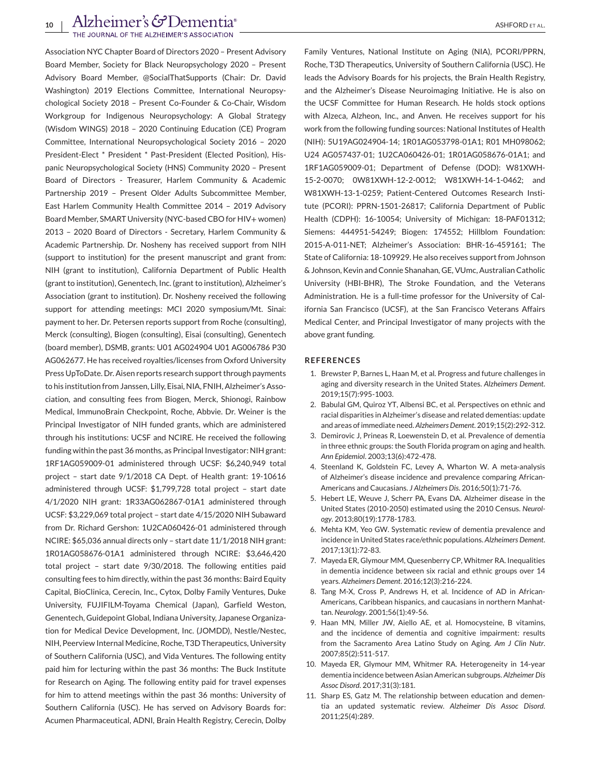<span id="page-9-0"></span>Association NYC Chapter Board of Directors 2020 – Present Advisory Board Member, Society for Black Neuropsychology 2020 – Present Advisory Board Member, @SocialThatSupports (Chair: Dr. David Washington) 2019 Elections Committee, International Neuropsychological Society 2018 – Present Co-Founder & Co-Chair, Wisdom Workgroup for Indigenous Neuropsychology: A Global Strategy (Wisdom WINGS) 2018 – 2020 Continuing Education (CE) Program Committee, International Neuropsychological Society 2016 – 2020 President-Elect \* President \* Past-President (Elected Position), Hispanic Neuropsychological Society (HNS) Community 2020 – Present Board of Directors - Treasurer, Harlem Community & Academic Partnership 2019 – Present Older Adults Subcommittee Member, East Harlem Community Health Committee 2014 – 2019 Advisory Board Member, SMART University (NYC-based CBO for HIV+ women) 2013 – 2020 Board of Directors - Secretary, Harlem Community & Academic Partnership. Dr. Nosheny has received support from NIH (support to institution) for the present manuscript and grant from: NIH (grant to institution), California Department of Public Health (grant to institution), Genentech, Inc. (grant to institution), Alzheimer's Association (grant to institution). Dr. Nosheny received the following support for attending meetings: MCI 2020 symposium/Mt. Sinai: payment to her. Dr. Petersen reports support from Roche (consulting), Merck (consulting), Biogen (consulting), Eisai (consulting), Genentech (board member), DSMB, grants: U01 AG024904 U01 AG006786 P30 AG062677. He has received royalties/licenses from Oxford University Press UpToDate. Dr. Aisen reports research support through payments to his institution from Janssen, Lilly, Eisai, NIA, FNIH, Alzheimer's Association, and consulting fees from Biogen, Merck, Shionogi, Rainbow Medical, ImmunoBrain Checkpoint, Roche, Abbvie. Dr. Weiner is the Principal Investigator of NIH funded grants, which are administered through his institutions: UCSF and NCIRE. He received the following funding within the past 36 months, as Principal Investigator: NIH grant: 1RF1AG059009-01 administered through UCSF: \$6,240,949 total project – start date 9/1/2018 CA Dept. of Health grant: 19-10616 administered through UCSF: \$1,799,728 total project – start date 4/1/2020 NIH grant: 1R33AG062867-01A1 administered through UCSF: \$3,229,069 total project – start date 4/15/2020 NIH Subaward from Dr. Richard Gershon: 1U2CA060426-01 administered through NCIRE: \$65,036 annual directs only – start date 11/1/2018 NIH grant: 1R01AG058676-01A1 administered through NCIRE: \$3,646,420 total project – start date 9/30/2018. The following entities paid consulting fees to him directly, within the past 36 months: Baird Equity Capital, BioClinica, Cerecin, Inc., Cytox, Dolby Family Ventures, Duke University, FUJIFILM-Toyama Chemical (Japan), Garfield Weston, Genentech, Guidepoint Global, Indiana University, Japanese Organization for Medical Device Development, Inc. (JOMDD), Nestle/Nestec, NIH, Peerview Internal Medicine, Roche, T3D Therapeutics, University of Southern California (USC), and Vida Ventures. The following entity paid him for lecturing within the past 36 months: The Buck Institute for Research on Aging. The following entity paid for travel expenses for him to attend meetings within the past 36 months: University of Southern California (USC). He has served on Advisory Boards for: Acumen Pharmaceutical, ADNI, Brain Health Registry, Cerecin, Dolby

Family Ventures, National Institute on Aging (NIA), PCORI/PPRN, Roche, T3D Therapeutics, University of Southern California (USC). He leads the Advisory Boards for his projects, the Brain Health Registry, and the Alzheimer's Disease Neuroimaging Initiative. He is also on the UCSF Committee for Human Research. He holds stock options with Alzeca, Alzheon, Inc., and Anven. He receives support for his work from the following funding sources: National Institutes of Health (NIH): 5U19AG024904-14; 1R01AG053798-01A1; R01 MH098062; U24 AG057437-01; 1U2CA060426-01; 1R01AG058676-01A1; and 1RF1AG059009-01; Department of Defense (DOD): W81XWH-15-2-0070; 0W81XWH-12-2-0012; W81XWH-14-1-0462; and W81XWH-13-1-0259; Patient-Centered Outcomes Research Institute (PCORI): PPRN-1501-26817; California Department of Public Health (CDPH): 16-10054; University of Michigan: 18-PAF01312; Siemens: 444951-54249; Biogen: 174552; Hillblom Foundation: 2015-A-011-NET; Alzheimer's Association: BHR-16-459161; The State of California: 18-109929. He also receives support from Johnson & Johnson, Kevin and Connie Shanahan, GE, VUmc, Australian Catholic University (HBI-BHR), The Stroke Foundation, and the Veterans Administration. He is a full-time professor for the University of California San Francisco (UCSF), at the San Francisco Veterans Affairs Medical Center, and Principal Investigator of many projects with the above grant funding.

#### **REFERENCES**

- 1. Brewster P, Barnes L, Haan M, et al. Progress and future challenges in aging and diversity research in the United States. *Alzheimers Dement*. 2019;15(7):995-1003.
- 2. Babulal GM, Quiroz YT, Albensi BC, et al. Perspectives on ethnic and racial disparities in Alzheimer's disease and related dementias: update and areas of immediate need. *Alzheimers Dement*. 2019;15(2):292-312.
- 3. Demirovic J, Prineas R, Loewenstein D, et al. Prevalence of dementia in three ethnic groups: the South Florida program on aging and health. *Ann Epidemiol*. 2003;13(6):472-478.
- 4. Steenland K, Goldstein FC, Levey A, Wharton W. A meta-analysis of Alzheimer's disease incidence and prevalence comparing African-Americans and Caucasians. *J Alzheimers Dis*. 2016;50(1):71-76.
- 5. Hebert LE, Weuve J, Scherr PA, Evans DA. Alzheimer disease in the United States (2010-2050) estimated using the 2010 Census. *Neurology*. 2013;80(19):1778-1783.
- 6. Mehta KM, Yeo GW. Systematic review of dementia prevalence and incidence in United States race/ethnic populations. *Alzheimers Dement*. 2017;13(1):72-83.
- 7. Mayeda ER, Glymour MM, Quesenberry CP, Whitmer RA. Inequalities in dementia incidence between six racial and ethnic groups over 14 years. *Alzheimers Dement*. 2016;12(3):216-224.
- 8. Tang M-X, Cross P, Andrews H, et al. Incidence of AD in African-Americans, Caribbean hispanics, and caucasians in northern Manhattan. *Neurology*. 2001;56(1):49-56.
- 9. Haan MN, Miller JW, Aiello AE, et al. Homocysteine, B vitamins, and the incidence of dementia and cognitive impairment: results from the Sacramento Area Latino Study on Aging. *Am J Clin Nutr*. 2007;85(2):511-517.
- 10. Mayeda ER, Glymour MM, Whitmer RA. Heterogeneity in 14-year dementia incidence between Asian American subgroups. *Alzheimer Dis Assoc Disord*. 2017;31(3):181.
- 11. Sharp ES, Gatz M. The relationship between education and dementia an updated systematic review. *Alzheimer Dis Assoc Disord*. 2011;25(4):289.